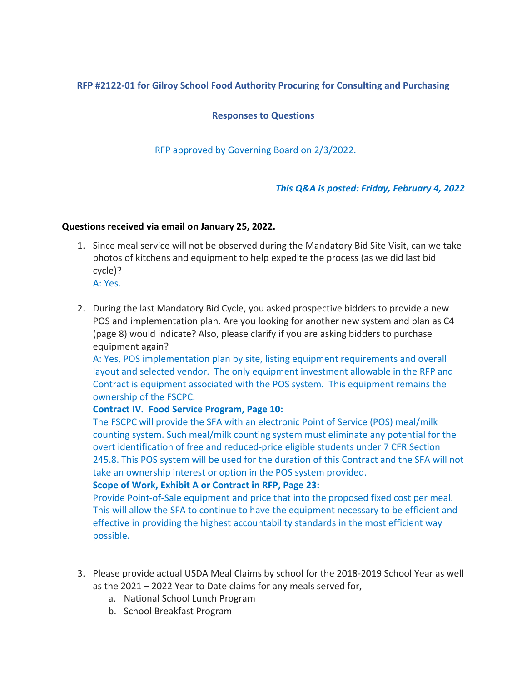# **RFP #2122-01 for Gilroy School Food Authority Procuring for Consulting and Purchasing**

**Responses to Questions**

RFP approved by Governing Board on 2/3/2022.

## *This Q&A is posted: Friday, February 4, 2022*

### **Questions received via email on January 25, 2022.**

- 1. Since meal service will not be observed during the Mandatory Bid Site Visit, can we take photos of kitchens and equipment to help expedite the process (as we did last bid cycle)?
	- A: Yes.
- 2. During the last Mandatory Bid Cycle, you asked prospective bidders to provide a new POS and implementation plan. Are you looking for another new system and plan as C4 (page 8) would indicate? Also, please clarify if you are asking bidders to purchase equipment again?

A: Yes, POS implementation plan by site, listing equipment requirements and overall layout and selected vendor. The only equipment investment allowable in the RFP and Contract is equipment associated with the POS system. This equipment remains the ownership of the FSCPC.

## **Contract IV. Food Service Program, Page 10:**

The FSCPC will provide the SFA with an electronic Point of Service (POS) meal/milk counting system. Such meal/milk counting system must eliminate any potential for the overt identification of free and reduced-price eligible students under 7 CFR Section 245.8. This POS system will be used for the duration of this Contract and the SFA will not take an ownership interest or option in the POS system provided.

#### **Scope of Work, Exhibit A or Contract in RFP, Page 23:**

Provide Point-of-Sale equipment and price that into the proposed fixed cost per meal. This will allow the SFA to continue to have the equipment necessary to be efficient and effective in providing the highest accountability standards in the most efficient way possible.

- 3. Please provide actual USDA Meal Claims by school for the 2018-2019 School Year as well as the 2021 – 2022 Year to Date claims for any meals served for,
	- a. National School Lunch Program
	- b. School Breakfast Program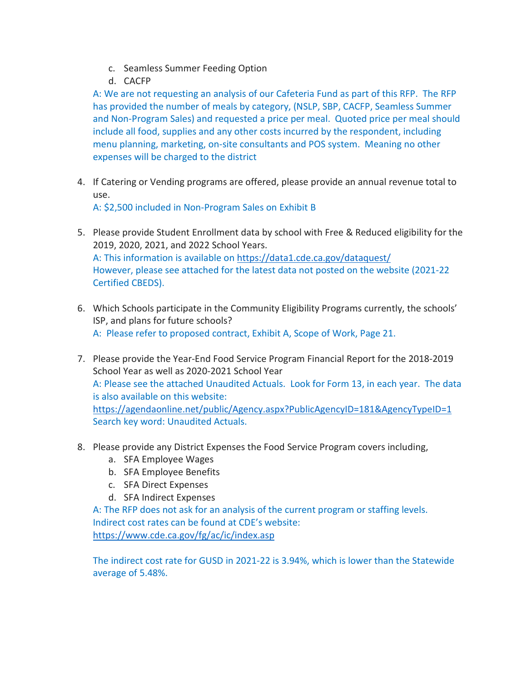- c. Seamless Summer Feeding Option
- d. CACFP

A: We are not requesting an analysis of our Cafeteria Fund as part of this RFP. The RFP has provided the number of meals by category, (NSLP, SBP, CACFP, Seamless Summer and Non-Program Sales) and requested a price per meal. Quoted price per meal should include all food, supplies and any other costs incurred by the respondent, including menu planning, marketing, on-site consultants and POS system. Meaning no other expenses will be charged to the district

4. If Catering or Vending programs are offered, please provide an annual revenue total to use.

A: \$2,500 included in Non-Program Sales on Exhibit B

- 5. Please provide Student Enrollment data by school with Free & Reduced eligibility for the 2019, 2020, 2021, and 2022 School Years. A: This information is available on<https://data1.cde.ca.gov/dataquest/> However, please see attached for the latest data not posted on the website (2021-22 Certified CBEDS).
- 6. Which Schools participate in the Community Eligibility Programs currently, the schools' ISP, and plans for future schools? A: Please refer to proposed contract, Exhibit A, Scope of Work, Page 21.
- 7. Please provide the Year-End Food Service Program Financial Report for the 2018-2019 School Year as well as 2020-2021 School Year A: Please see the attached Unaudited Actuals. Look for Form 13, in each year. The data is also available on this website: <https://agendaonline.net/public/Agency.aspx?PublicAgencyID=181&AgencyTypeID=1> Search key word: Unaudited Actuals.
- 8. Please provide any District Expenses the Food Service Program covers including,
	- a. SFA Employee Wages
	- b. SFA Employee Benefits
	- c. SFA Direct Expenses
	- d. SFA Indirect Expenses

A: The RFP does not ask for an analysis of the current program or staffing levels. Indirect cost rates can be found at CDE's website: <https://www.cde.ca.gov/fg/ac/ic/index.asp>

The indirect cost rate for GUSD in 2021-22 is 3.94%, which is lower than the Statewide average of 5.48%.